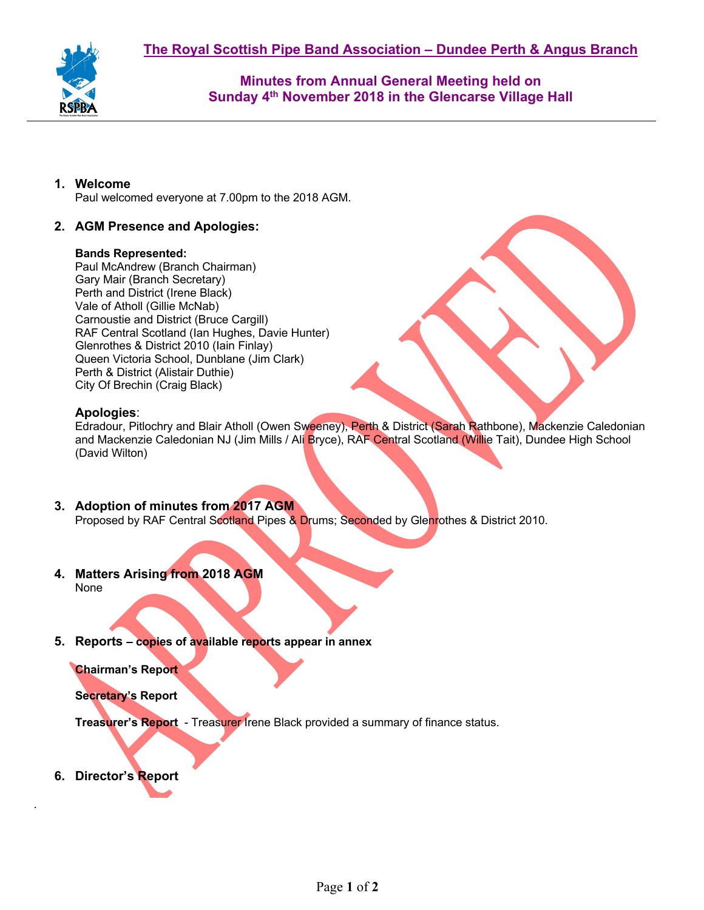

**Minutes from Annual General Meeting held on Sunday 4th November 2018 in the Glencarse Village Hall**

# **1. Welcome**

Paul welcomed everyone at 7.00pm to the 2018 AGM.

# **2. AGM Presence and Apologies:**

#### **Bands Represented:**

Paul McAndrew (Branch Chairman) Gary Mair (Branch Secretary) Perth and District (Irene Black) Vale of Atholl (Gillie McNab) Carnoustie and District (Bruce Cargill) RAF Central Scotland (Ian Hughes, Davie Hunter) Glenrothes & District 2010 (Iain Finlay) Queen Victoria School, Dunblane (Jim Clark) Perth & District (Alistair Duthie) City Of Brechin (Craig Black)

### **Apologies**:

Edradour, Pitlochry and Blair Atholl (Owen Sweeney), Perth & District (Sarah Rathbone), Mackenzie Caledonian and Mackenzie Caledonian NJ (Jim Mills / Ali Bryce), RAF Central Scotland (Willie Tait), Dundee High School (David Wilton)

- **3. Adoption of minutes from 2017 AGM** Proposed by RAF Central Scotland Pipes & Drums; Seconded by Glenrothes & District 2010.
- **4. Matters Arising from 2018 AGM**

None

**5. Reports – copies of available reports appear in annex**

### **Chairman's Report**

### **Secretary's Report**

**Treasurer's Report** - Treasurer Irene Black provided a summary of finance status.

**6. Director's Report**

.